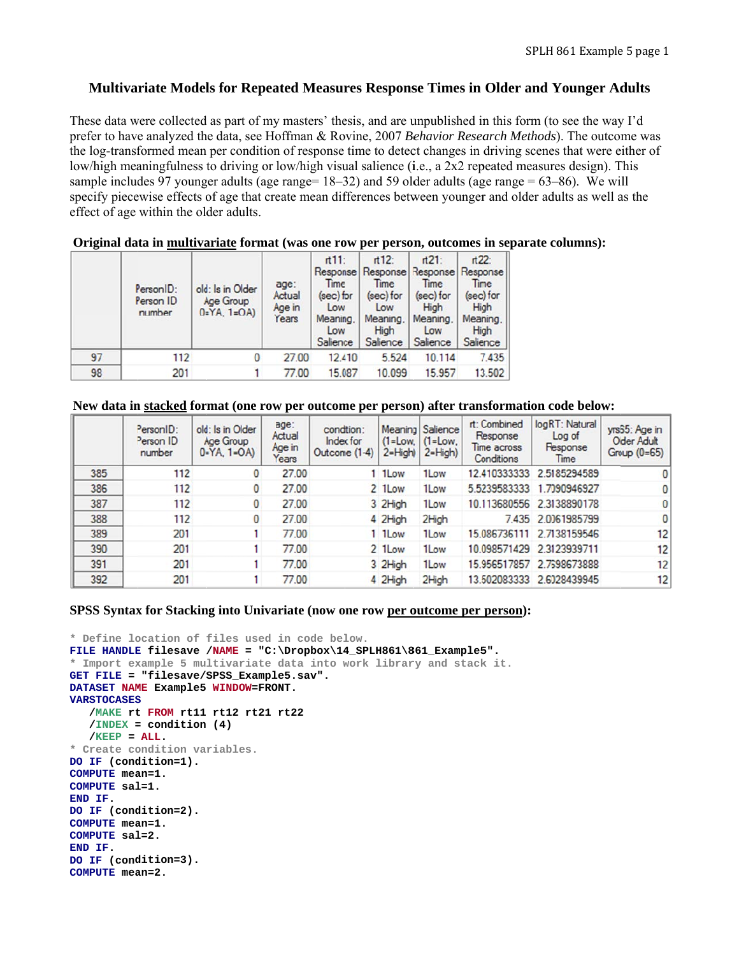# **Multivariate Models for Repeated Measures Response Times in Older and Younger Adults**

These data were collected as part of my masters' thesis, and are unpublished in this form (to see the way I'd prefer to have analyzed the data, see Hoffman & Rovine, 2007 *Behavior Research Methods*). The outcome was the log-transformed mean per condition of response time to detect changes in driving scenes that were either of low/high meaningfulness to driving or low/high visual salience (i.e., a 2x2 repeated measures design). This sample includes 97 younger adults (age range=  $18-32$ ) and 59 older adults (age range =  $63-86$ ). We will specify piecewise effects of age that create mean differences between younger and older adults as well as the effect of age within the older adults.

|    | Person ID:<br>Person ID<br>number | old: Is in Older<br>Age Group<br>$0 = YA$ , $1 = OA$ | age:<br>Actual<br>Age in<br>Years | rt11:<br>Time<br>(sec) for<br>Low<br>Meaning.<br>Low<br>Salience | $rt12$ :<br>Response Response<br>Time<br>(sec) for<br>Low<br>Meaning.<br>High<br>Salience | $rt21$ :<br>Response<br>Time<br>(sec) for<br>High<br>Meaning,<br>Low<br>Salience | $rt22$ :<br>Response<br>Time<br>(sec) for<br>High<br>Meaning.<br>High<br>Salience |
|----|-----------------------------------|------------------------------------------------------|-----------------------------------|------------------------------------------------------------------|-------------------------------------------------------------------------------------------|----------------------------------------------------------------------------------|-----------------------------------------------------------------------------------|
| 97 | 112                               | 0                                                    | 27.00                             | 12.410                                                           | 5.524                                                                                     | 10.114                                                                           | 7.435                                                                             |
| 98 | 201                               |                                                      | 77.00                             | 15.087                                                           | 10.099                                                                                    | 15.957                                                                           | 13.502                                                                            |

### **Original data in multivariate format** (was one row per person, outcomes in separate columns):

## New data in stacked format (one row per outcome per person) after transformation code below:

|     | PersonID:<br>Person ID<br>number | old: Is in Older<br>Age Group<br>$0 = YA$ , $1 = OA$ | age:<br>Actual<br>Age in<br>Years | condition:<br>Index for<br>Outcome (1-4) | $(1 = Low,$<br>$2 = High$ | Meaning Salience<br>$(1 = Low,$<br>$2 = High$ ) | rt: Combined<br>Response<br>Time across<br>Conditions | logRT: Natural<br>Log of<br>Response<br>Time | yrs65: Age in<br><b>Older Adult</b><br>Group $(0=65)$ |
|-----|----------------------------------|------------------------------------------------------|-----------------------------------|------------------------------------------|---------------------------|-------------------------------------------------|-------------------------------------------------------|----------------------------------------------|-------------------------------------------------------|
| 385 | 112                              | 0                                                    | 27.00                             |                                          | 1 1Low                    | 1Low                                            | 12.410333333                                          | 2.5185294589                                 | 0                                                     |
| 386 | 112                              | 0                                                    | 27.00                             |                                          | 2 1 Low                   | 1Low                                            | 5.5239583333                                          | 1.7090946927                                 | 0                                                     |
| 387 | 112                              | 0                                                    | 27.00                             |                                          | 3 2High                   | 1Low                                            |                                                       | 10.113680556 2.3138890178                    | $\mathbf{0}$                                          |
| 388 | 112                              | 0                                                    | 27.00                             |                                          | 4 2High                   | 2High                                           |                                                       | 7.435 2.0061985799                           | $\bf{0}$                                              |
| 389 | 201                              |                                                      | 77.00                             |                                          | 1 1 Low                   | 1Low                                            | 15.086736111                                          | 2.7138159546                                 | 12                                                    |
| 390 | 201                              |                                                      | 77.00                             |                                          | 2 1 Low                   | 1Low                                            |                                                       | 10.098571429 2.3123939711                    | 12                                                    |
| 391 | 201                              |                                                      | 77.00                             |                                          | 3 2High                   | 1Low                                            | 15.956517857                                          | 2.7698673888                                 | 12                                                    |
| 392 | 201                              |                                                      | 77.00                             |                                          | 4 2High                   | 2High                                           | 13.502083333                                          | 2.6028439945                                 | 12                                                    |

### **SPSS Syntax for Stacking into Univariate (now one row per outcome per person):**

```
* Define lo
ocation of f
files used 
in code bel
low. 
FILE HANDLE filesave /NAME = "C:\Dropbox\14_SPLH861\861_Example5".
* Import example 5 multivariate data into work library and stack it.
GET FILE = 
"filesave/S
SPSS_Exampl
le5.sav". 
DATASET NAM
ME Example5 
WINDOW=FRO
ONT. 
VARSTOCASES
 /MAKE rt
St FROM rt11 
rt12 rt21 
rt22 
 /INDEX =
= condition 
(4) 
 /KEEP = 
ALL. 
* Create co
ondition var
riables. 
DO IF (cond
dition=1). 
COMPUTE mea
an=1. 
COMPUTE sal
l=1. 
END IF. 
DO IF (cond
dition=2). 
COMPUTE mea
an=1. 
COMPUTE sal=2.
END IF. 
DO IF (cond
dition=3). 
COMPUTE mea
an=2.
```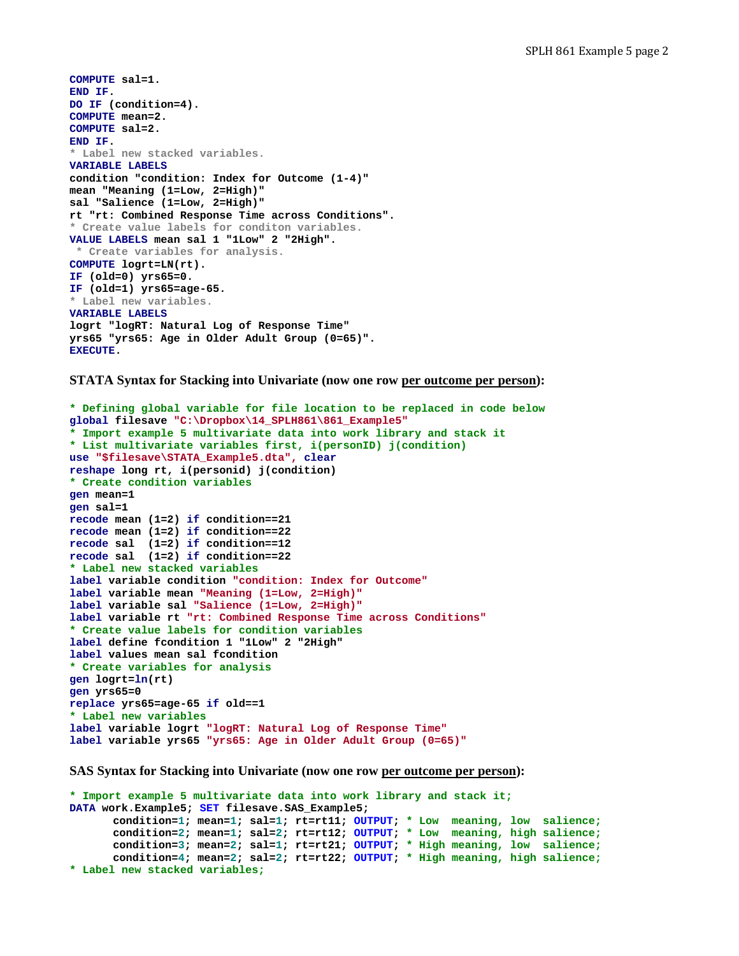```
COMPUTE sal=1. 
END IF. 
DO IF (condition=4). 
COMPUTE mean=2. 
COMPUTE sal=2. 
END IF. 
* Label new stacked variables. 
VARIABLE LABELS 
condition "condition: Index for Outcome (1-4)" 
mean "Meaning (1=Low, 2=High)" 
sal "Salience (1=Low, 2=High)" 
rt "rt: Combined Response Time across Conditions". 
* Create value labels for conditon variables. 
VALUE LABELS mean sal 1 "1Low" 2 "2High". 
 * Create variables for analysis.
COMPUTE logrt=LN(rt). 
IF (old=0) yrs65=0. 
IF (old=1) yrs65=age-65. 
* Label new variables. 
VARIABLE LABELS 
logrt "logRT: Natural Log of Response Time" 
yrs65 "yrs65: Age in Older Adult Group (0=65)". 
EXECUTE.
```
**STATA Syntax for Stacking into Univariate (now one row per outcome per person):** 

```
* Defining global variable for file location to be replaced in code below 
global filesave "C:\Dropbox\14_SPLH861\861_Example5" 
* Import example 5 multivariate data into work library and stack it 
* List multivariate variables first, i(personID) j(condition) 
use "$filesave\STATA_Example5.dta", clear
reshape long rt, i(personid) j(condition) 
* Create condition variables 
gen mean=1 
gen sal=1 
recode mean (1=2) if condition==21 
recode mean (1=2) if condition==22 
recode sal (1=2) if condition==12 
recode sal (1=2) if condition==22 
* Label new stacked variables 
label variable condition "condition: Index for Outcome" 
label variable mean "Meaning (1=Low, 2=High)" 
label variable sal "Salience (1=Low, 2=High)" 
label variable rt "rt: Combined Response Time across Conditions" 
* Create value labels for condition variables 
label define fcondition 1 "1Low" 2 "2High" 
label values mean sal fcondition 
* Create variables for analysis 
gen logrt=ln(rt) 
gen yrs65=0 
replace yrs65=age-65 if old==1 
* Label new variables 
label variable logrt "logRT: Natural Log of Response Time" 
label variable yrs65 "yrs65: Age in Older Adult Group (0=65)"
```
**SAS Syntax for Stacking into Univariate (now one row per outcome per person):**

```
* Import example 5 multivariate data into work library and stack it;
DATA work.Example5; SET filesave.SAS_Example5; 
       condition=1; mean=1; sal=1; rt=rt11; OUTPUT; * Low meaning, low salience;
       condition=2; mean=1; sal=2; rt=rt12; OUTPUT; * Low meaning, high salience;
       condition=3; mean=2; sal=1; rt=rt21; OUTPUT; * High meaning, low salience;
       condition=4; mean=2; sal=2; rt=rt22; OUTPUT; * High meaning, high salience; 
* Label new stacked variables;
```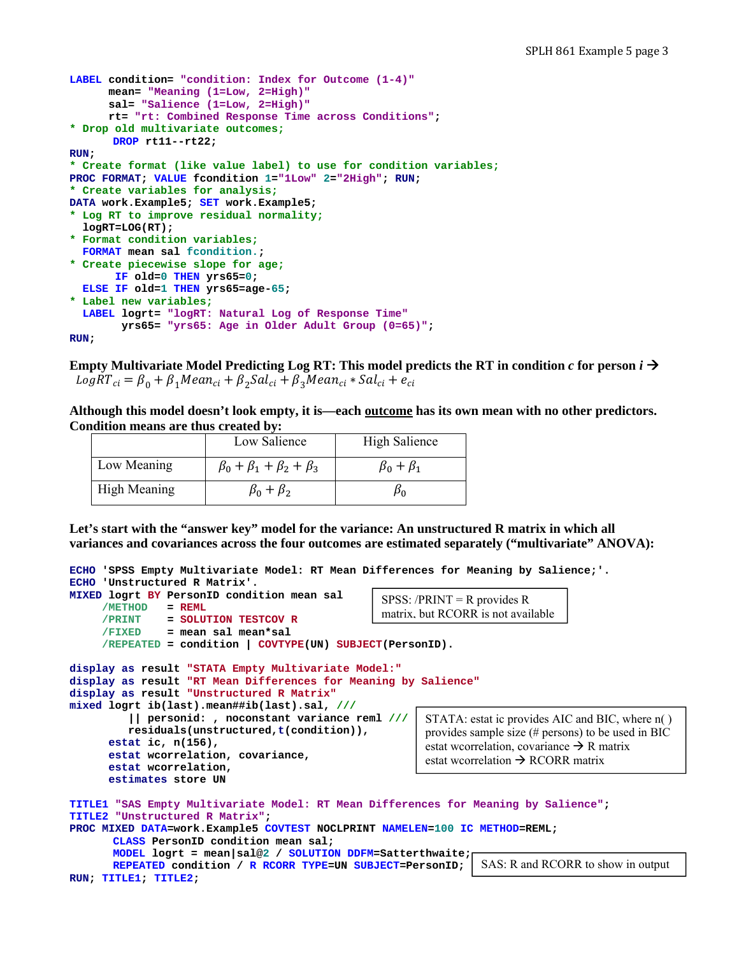```
LABEL condition= "condition: Index for Outcome (1-4)"
       mean= "Meaning (1=Low, 2=High)" 
       sal= "Salience (1=Low, 2=High)" 
       rt= "rt: Combined Response Time across Conditions"; 
* Drop old multivariate outcomes;
      DROP rt11--rt22; 
RUN; 
* Create format (like value label) to use for condition variables;
PROC FORMAT; VALUE fcondition 1="1Low" 2="2High"; RUN; 
* Create variables for analysis;
DATA work.Example5; SET work.Example5; 
* Log RT to improve residual normality;
   logRT=LOG(RT); 
* Format condition variables;
   FORMAT mean sal fcondition.; 
* Create piecewise slope for age;
        IF old=0 THEN yrs65=0; 
   ELSE IF old=1 THEN yrs65=age-65; 
* Label new variables;
   LABEL logrt= "logRT: Natural Log of Response Time"
         yrs65= "yrs65: Age in Older Adult Group (0=65)"; 
RUN;
```
**Empty Multivariate Model Predicting Log RT: This model predicts the RT in condition**  $c$  **for person**  $i \rightarrow$  $LogRT_{ci} = \beta_0 + \beta_1 Mean_{ci} + \beta_2 Sal_{ci} + \beta_3 Mean_{ci} * Sal_{ci} + e_{ci}$ 

**Although this model doesn't look empty, it is—each outcome has its own mean with no other predictors. Condition means are thus created by:** 

|                     | Low Salience                            | <b>High Salience</b> |
|---------------------|-----------------------------------------|----------------------|
| Low Meaning         | $\beta_0 + \beta_1 + \beta_2 + \beta_3$ | $\beta_0 + \beta_1$  |
| <b>High Meaning</b> | $\beta_0 + \beta_2$                     | μ٥                   |

**Let's start with the "answer key" model for the variance: An unstructured R matrix in which all variances and covariances across the four outcomes are estimated separately ("multivariate" ANOVA):** 

```
ECHO 'SPSS Empty Multivariate Model: RT Mean Differences for Meaning by Salience;'. 
ECHO 'Unstructured R Matrix'. 
MIXED logrt BY PersonID condition mean sal 
      /METHOD = REML
      /PRINT = SOLUTION TESTCOV R
      /FIXED = mean sal mean*sal 
      /REPEATED = condition | COVTYPE(UN) SUBJECT(PersonID). 
display as result "STATA Empty Multivariate Model:" 
display as result "RT Mean Differences for Meaning by Salience"
display as result "Unstructured R Matrix"
mixed logrt ib(last).mean##ib(last).sal, ///
           || personid: , noconstant variance reml ///
          residuals(unstructured,t(condition)), 
       estat ic, n(156),
       estat wcorrelation, covariance, 
       estat wcorrelation, 
       estimates store UN 
TITLE1 "SAS Empty Multivariate Model: RT Mean Differences for Meaning by Salience"; 
TITLE2 "Unstructured R Matrix"; 
PROC MIXED DATA=work.Example5 COVTEST NOCLPRINT NAMELEN=100 IC METHOD=REML; 
       CLASS PersonID condition mean sal; 
                                                            STATA: estat ic provides AIC and BIC, where n( ) 
                                                            provides sample size (# persons) to be used in BIC 
                                                            estat wcorrelation, covariance \rightarrow R matrix
                                                            estat wcorrelation \rightarrow RCORR matrix
                                                    SPSS: /PRINT = R provides R
                                                    matrix, but RCORR is not available
```

```
MODEL logrt = mean|sal@2 / SOLUTION DDFM=Satterthwaite; 
      REPEATED condition / R RCORR TYPE=UN SUBJECT=PersonID; 
RUN; TITLE1; TITLE2; 
                                                                   SAS: R and RCORR to show in output
```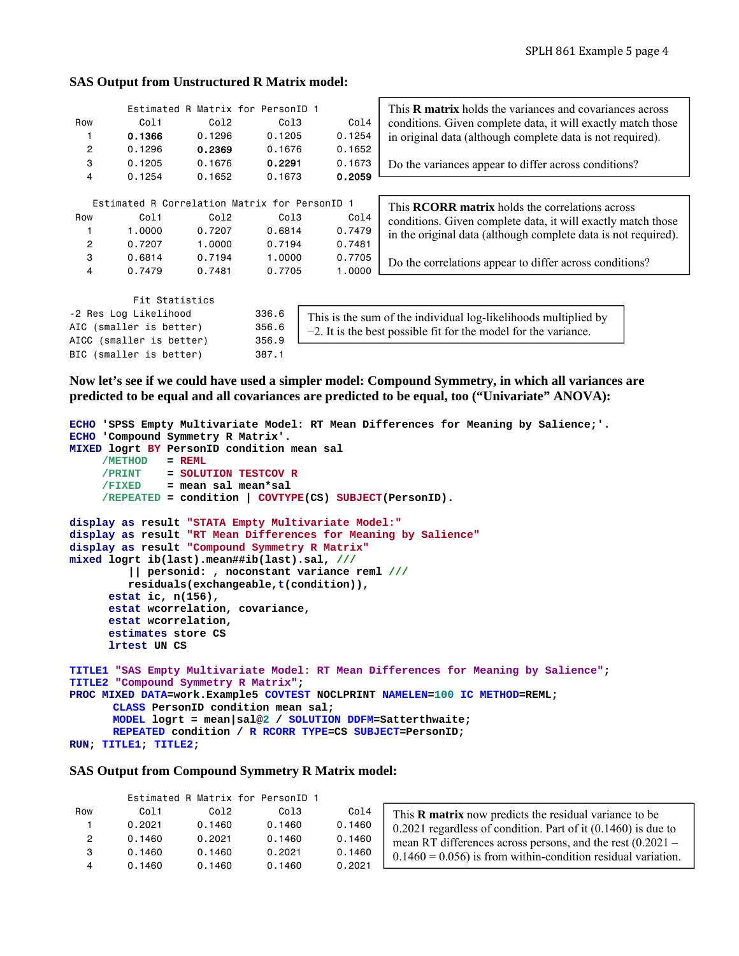#### **SAS Output from Unstructured R Matrix model:**

|                |                                               | Estimated R Matrix for PersonID 1 |                  |                                                                      | This <b>R</b> matrix holds the variances and covariances across |  |  |  |  |
|----------------|-----------------------------------------------|-----------------------------------|------------------|----------------------------------------------------------------------|-----------------------------------------------------------------|--|--|--|--|
| Row            | Col1                                          | Col <sub>2</sub>                  | Col <sub>3</sub> | Col4                                                                 | conditions. Given complete data, it will exactly match those    |  |  |  |  |
|                | 0.1366                                        | 0.1296                            | 0.1205           | 0.1254                                                               | in original data (although complete data is not required).      |  |  |  |  |
| $\overline{c}$ | 0.1296                                        | 0.2369                            | 0.1676           | 0.1652                                                               |                                                                 |  |  |  |  |
| 3              | 0.1205                                        | 0.1676                            | 0.2291           | 0.1673                                                               | Do the variances appear to differ across conditions?            |  |  |  |  |
| 4              | 0.1254                                        | 0.1652                            | 0.1673           | 0.2059                                                               |                                                                 |  |  |  |  |
|                |                                               |                                   |                  |                                                                      |                                                                 |  |  |  |  |
|                | Estimated R Correlation Matrix for PersonID 1 |                                   |                  |                                                                      | This <b>RCORR</b> matrix holds the correlations across          |  |  |  |  |
| Row            | Co11                                          | Col <sub>2</sub>                  | Col3             | Col4<br>conditions. Given complete data, it will exactly match those |                                                                 |  |  |  |  |
|                | 1,0000                                        | 0.7207                            | 0.6814           | 0.7479                                                               | in the original data (although complete data is not required).  |  |  |  |  |
| $\overline{c}$ | 0.7207                                        | 1,0000                            | 0.7194           | 0.7481                                                               |                                                                 |  |  |  |  |
| 3              | 0.6814                                        | 0.7194                            | 1,0000           | 0.7705                                                               | Do the correlations appear to differ across conditions?         |  |  |  |  |
| 4              | 0.7479                                        | 0.7481                            | 0.7705           | 1,0000                                                               |                                                                 |  |  |  |  |
|                |                                               |                                   |                  |                                                                      |                                                                 |  |  |  |  |
|                | Fit Statistics                                |                                   |                  |                                                                      |                                                                 |  |  |  |  |
|                | -2 Res Log Likelihood                         |                                   | 336.6            |                                                                      | This is the sum of the individual log-likelihoods multiplied by |  |  |  |  |
|                | AIC (smaller is better)                       |                                   | 356.6            |                                                                      |                                                                 |  |  |  |  |
|                | AICC (smaller is better)                      |                                   | 356.9            | $-2$ . It is the best possible fit for the model for the variance.   |                                                                 |  |  |  |  |
|                | BIC (smaller is better)                       |                                   | 387.1            |                                                                      |                                                                 |  |  |  |  |

**Now let's see if we could have used a simpler model: Compound Symmetry, in which all variances are predicted to be equal and all covariances are predicted to be equal, too ("Univariate" ANOVA):** 

```
ECHO 'SPSS Empty Multivariate Model: RT Mean Differences for Meaning by Salience;'. 
ECHO 'Compound Symmetry R Matrix'. 
MIXED logrt BY PersonID condition mean sal 
      /METHOD = REML
      /PRINT = SOLUTION TESTCOV R
              /FIXED = mean sal mean*sal 
      /REPEATED = condition | COVTYPE(CS) SUBJECT(PersonID). 
display as result "STATA Empty Multivariate Model:" 
display as result "RT Mean Differences for Meaning by Salience"
display as result "Compound Symmetry R Matrix"
mixed logrt ib(last).mean##ib(last).sal, ///
          || personid: , noconstant variance reml ///
          residuals(exchangeable,t(condition)), 
       estat ic, n(156), 
       estat wcorrelation, covariance, 
       estat wcorrelation, 
       estimates store CS 
       lrtest UN CS 
TITLE1 "SAS Empty Multivariate Model: RT Mean Differences for Meaning by Salience"; 
TITLE2 "Compound Symmetry R Matrix"; 
PROC MIXED DATA=work.Example5 COVTEST NOCLPRINT NAMELEN=100 IC METHOD=REML; 
       CLASS PersonID condition mean sal; 
      MODEL logrt = mean|sal@2 / SOLUTION DDFM=Satterthwaite; 
      REPEATED condition / R RCORR TYPE=CS SUBJECT=PersonID; 
RUN; TITLE1; TITLE2;
```
#### **SAS Output from Compound Symmetry R Matrix model:**

|     |        |        | Estimated R Matrix for PersonID 1 |        |
|-----|--------|--------|-----------------------------------|--------|
| Row | Col1   | Co12   | Col3                              | Col4   |
| 1   | 0.2021 | 0.1460 | 0.1460                            | 0.1460 |
| 2   | 0.1460 | 0.2021 | 0.1460                            | 0.1460 |
| 3   | 0.1460 | 0.1460 | 0.2021                            | 0.1460 |
| 4   | 0.1460 | 0.1460 | 0.1460                            | 0.2021 |

| This <b>R</b> matrix now predicts the residual variance to be     |
|-------------------------------------------------------------------|
| $0.2021$ regardless of condition. Part of it $(0.1460)$ is due to |
| mean RT differences across persons, and the rest $(0.2021 -$      |
| $0.1460 = 0.056$ is from within-condition residual variation.     |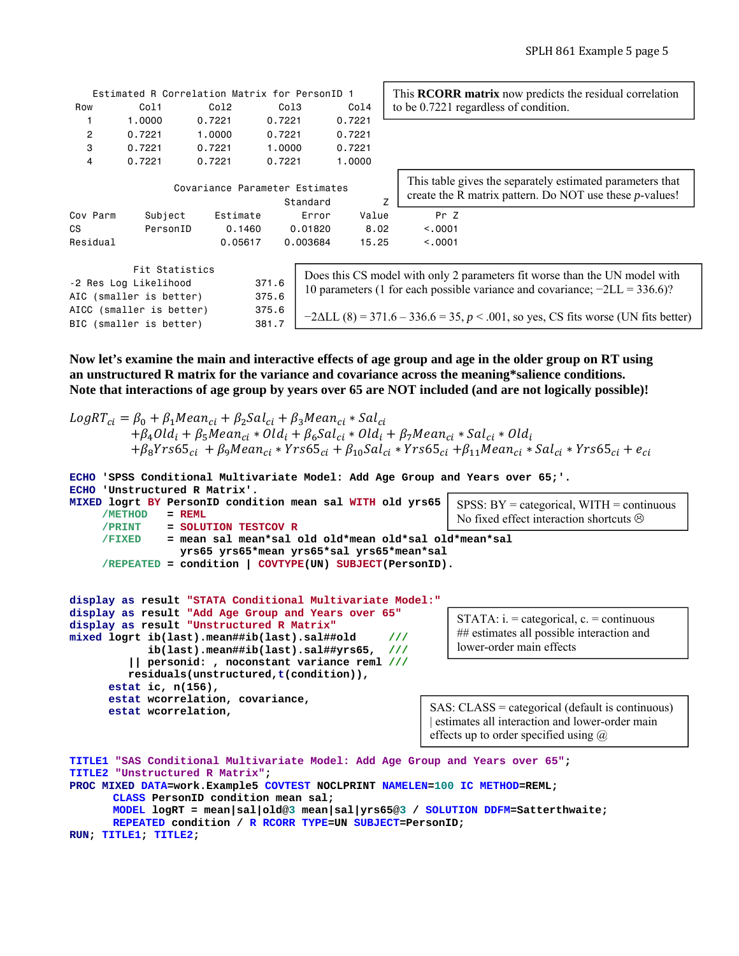|                                                                                      |          | Estimated R Correlation Matrix for PersonID 1 |          |        | This <b>RCORR</b> matrix now predicts the residual correlation                                                                                              |  |  |  |
|--------------------------------------------------------------------------------------|----------|-----------------------------------------------|----------|--------|-------------------------------------------------------------------------------------------------------------------------------------------------------------|--|--|--|
| Row                                                                                  | Co11     | Col2                                          | Co13     | Co14   | to be 0.7221 regardless of condition.                                                                                                                       |  |  |  |
|                                                                                      | 1,0000   | 0.7221                                        | 0.7221   | 0.7221 |                                                                                                                                                             |  |  |  |
| $\overline{c}$                                                                       | 0.7221   | 1,0000                                        | 0.7221   | 0.7221 |                                                                                                                                                             |  |  |  |
| 3                                                                                    | 0.7221   | 0.7221                                        | 1.0000   | 0.7221 |                                                                                                                                                             |  |  |  |
| 4                                                                                    | 0.7221   | 0.7221                                        | 0.7221   | 1,0000 |                                                                                                                                                             |  |  |  |
|                                                                                      |          | Covariance Parameter Estimates                | Standard | Z      | This table gives the separately estimated parameters that<br>create the R matrix pattern. Do NOT use these $p$ -values!                                     |  |  |  |
| Cov Parm                                                                             | Subject  | Estimate                                      | Error    | Value  | Pr Z                                                                                                                                                        |  |  |  |
| <b>CS</b>                                                                            | PersonID | 0.1460                                        | 0.01820  | 8.02   | < 0.001                                                                                                                                                     |  |  |  |
| Residual                                                                             |          | 0.05617                                       | 0.003684 | 15.25  | < 0.0001                                                                                                                                                    |  |  |  |
| Fit Statistics<br>371.6<br>-2 Res Log Likelihood<br>AIC (smaller is better)<br>375.6 |          |                                               |          |        | Does this CS model with only 2 parameters fit worse than the UN model with<br>10 parameters (1 for each possible variance and covariance; $-2LL = 336.6$ )? |  |  |  |
| AICC (smaller is better)<br>375.6<br>BIC (smaller is better)<br>381.7                |          |                                               |          |        | $-2\Delta L L$ (8) = 371.6 – 336.6 = 35, p < .001, so yes, CS fits worse (UN fits better)                                                                   |  |  |  |

**Now let's examine the main and interactive effects of age group and age in the older group on RT using an unstructured R matrix for the variance and covariance across the meaning\*salience conditions. Note that interactions of age group by years over 65 are NOT included (and are not logically possible)!** 

```
LogRT_{ci} = \beta_0 + \beta_1 Mean_{ci} + \beta_2 Sal_{ci} + \beta_3 Mean_{ci} * Sal_{ci}+ \beta_4Old<sub>i</sub> + \beta_5Mean<sub>ci</sub> * Old<sub>i</sub> + \beta_6Sal<sub>ci</sub> * Old<sub>i</sub> + \beta_7Mean<sub>ci</sub> * Sal<sub>ci</sub> * Old<sub>i</sub>
             + \beta_8 Y r s 65_{ci} + \beta_9 M e a n_{ci} * Y r s 65_{ci} + \beta_{10} S a l_{ci} * Y r s 65_{ci} + \beta_{11} M e a n_{ci} * S a l_{ci} * Y r s 65_{ci} + e_{ci}ECHO 'SPSS Conditional Multivariate Model: Add Age Group and Years over 65;'. 
ECHO 'Unstructured R Matrix'. 
MIXED logrt BY PersonID condition mean sal WITH old yrs65 
        /METHOD = REML
        /PRINT = SOLUTION TESTCOV R
        /FIXED = mean sal mean*sal old old*mean old*sal old*mean*sal 
                        yrs65 yrs65*mean yrs65*sal yrs65*mean*sal 
        /REPEATED = condition | COVTYPE(UN) SUBJECT(PersonID).
                                                                                     SPSS: BY = categorical, WITH = continuous 
                                                                                     No fixed effect interaction shortcuts \odot
```

```
display as result "STATA Conditional Multivariate Model:"
display as result "Add Age Group and Years over 65"
display as result "Unstructured R Matrix"
mixed logrt ib(last).mean##ib(last).sal##old ///
             ib(last).mean##ib(last).sal##yrs65, ///
          || personid: , noconstant variance reml ///
          residuals(unstructured,t(condition)), 
       estat ic, n(156), 
       estat wcorrelation, covariance, 
       estat wcorrelation,
```
STATA:  $i =$  categorical,  $c =$  continuous ## estimates all possible interaction and lower-order main effects

SAS: CLASS = categorical (default is continuous) | estimates all interaction and lower-order main effects up to order specified using  $\omega$ 

```
TITLE1 "SAS Conditional Multivariate Model: Add Age Group and Years over 65"; 
TITLE2 "Unstructured R Matrix"; 
PROC MIXED DATA=work.Example5 COVTEST NOCLPRINT NAMELEN=100 IC METHOD=REML; 
      CLASS PersonID condition mean sal; 
      MODEL logRT = mean|sal|old@3 mean|sal|yrs65@3 / SOLUTION DDFM=Satterthwaite; 
      REPEATED condition / R RCORR TYPE=UN SUBJECT=PersonID; 
RUN; TITLE1; TITLE2;
```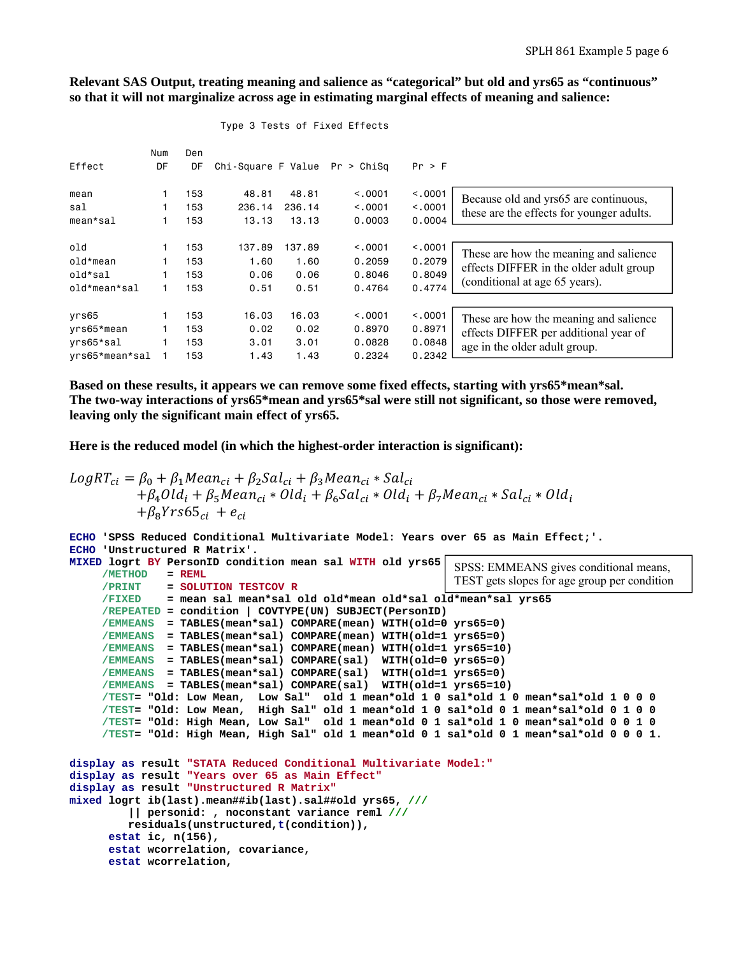**Relevant SAS Output, treating meaning and salience as "categorical" but old and yrs65 as "continuous" so that it will not marginalize across age in estimating marginal effects of meaning and salience:** 

| Effect          | Num<br>DF | Den<br>DF | Chi-Square F Value $Pr > ChiSq$ |        |         | Pr > F   |                                           |
|-----------------|-----------|-----------|---------------------------------|--------|---------|----------|-------------------------------------------|
| mean            |           | 153       | 48.81                           | 48.81  | < 0.001 | < 0.001  | Because old and yrs65 are continuous,     |
| sal             |           | 153       | 236.14                          | 236.14 | < 0.001 | < 0.0001 | these are the effects for younger adults. |
| $mean * sal$    |           | 153       | 13.13                           | 13.13  | 0.0003  | 0.0004   |                                           |
|                 |           |           |                                 |        |         |          |                                           |
| 0 <sub>1d</sub> |           | 153       | 137.89                          | 137.89 | < 0.001 | < .0001  | These are how the meaning and salience    |
| old*mean        |           | 153       | 1.60                            | 1.60   | 0.2059  | 0.2079   | effects DIFFER in the older adult group   |
| old*sal         |           | 153       | 0.06                            | 0.06   | 0.8046  | 0.8049   |                                           |
| old*mean*sal    |           | 153       | 0.51                            | 0.51   | 0.4764  | 0.4774   | (conditional at age 65 years).            |
|                 |           |           |                                 |        |         |          |                                           |
| yrs65           |           | 153       | 16.03                           | 16.03  | < 0.001 | < 0.001  | These are how the meaning and salience    |
| yrs65*mean      |           | 153       | 0.02                            | 0.02   | 0.8970  | 0.8971   | effects DIFFER per additional year of     |
| vrs65*sal       |           | 153       | 3.01                            | 3.01   | 0.0828  | 0.0848   | age in the older adult group.             |
| yrs65*mean*sal  |           | 153       | 1.43                            | 1.43   | 0.2324  | 0.2342   |                                           |

#### Type 3 Tests of Fixed Effects

**Based on these results, it appears we can remove some fixed effects, starting with yrs65\*mean\*sal. The two-way interactions of yrs65\*mean and yrs65\*sal were still not significant, so those were removed, leaving only the significant main effect of yrs65.** 

**Here is the reduced model (in which the highest-order interaction is significant):** 

 **estat wcorrelation, covariance,** 

 **estat wcorrelation,** 

```
LogRT_{ci} = \beta_0 + \beta_1 Mean_{ci} + \beta_2 Sal_{ci} + \beta_3 Mean_{ci} * Sal_{ci}+ \beta_4Old<sub>i</sub> + \beta_5Mean<sub>ci</sub> * Old<sub>i</sub> + \beta_6Sal<sub>ci</sub> * Old<sub>i</sub> + \beta_7Mean<sub>ci</sub> * Sal<sub>ci</sub> * Old<sub>i</sub>
                     +\beta_8Yrs65_{ci} + e_{ci}
```

```
ECHO 'SPSS Reduced Conditional Multivariate Model: Years over 65 as Main Effect;'. 
ECHO 'Unstructured R Matrix'. 
MIXED logrt BY PersonID condition mean sal WITH old yrs65 
      /METHOD = REML
      /PRINT = SOLUTION TESTCOV R
      /FIXED = mean sal mean*sal old old*mean old*sal old*mean*sal yrs65 
      /REPEATED = condition | COVTYPE(UN) SUBJECT(PersonID)
      /EMMEANS = TABLES(mean*sal) COMPARE(mean) WITH(old=0 yrs65=0) 
      /EMMEANS = TABLES(mean*sal) COMPARE(mean) WITH(old=1 yrs65=0) 
      /EMMEANS = TABLES(mean*sal) COMPARE(mean) WITH(old=1 yrs65=10) 
      /EMMEANS = TABLES(mean*sal) COMPARE(sal) WITH(old=0 yrs65=0) 
      /EMMEANS = TABLES(mean*sal) COMPARE(sal) WITH(old=1 yrs65=0) 
      /EMMEANS = TABLES(mean*sal) COMPARE(sal) WITH(old=1 yrs65=10) 
      /TEST= "Old: Low Mean, Low Sal" old 1 mean*old 1 0 sal*old 1 0 mean*sal*old 1 0 0 0 
      /TEST= "Old: Low Mean, High Sal" old 1 mean*old 1 0 sal*old 0 1 mean*sal*old 0 1 0 0 
      /TEST= "Old: High Mean, Low Sal" old 1 mean*old 0 1 sal*old 1 0 mean*sal*old 0 0 1 0 
      /TEST= "Old: High Mean, High Sal" old 1 mean*old 0 1 sal*old 0 1 mean*sal*old 0 0 0 1.
display as result "STATA Reduced Conditional Multivariate Model:"
display as result "Years over 65 as Main Effect"
display as result "Unstructured R Matrix"
mixed logrt ib(last).mean##ib(last).sal##old yrs65, ///
          || personid: , noconstant variance reml ///
          residuals(unstructured,t(condition)), 
       estat ic, n(156), 
                                                            SPSS: EMMEANS gives conditional means, 
                                                            TEST gets slopes for age group per condition
```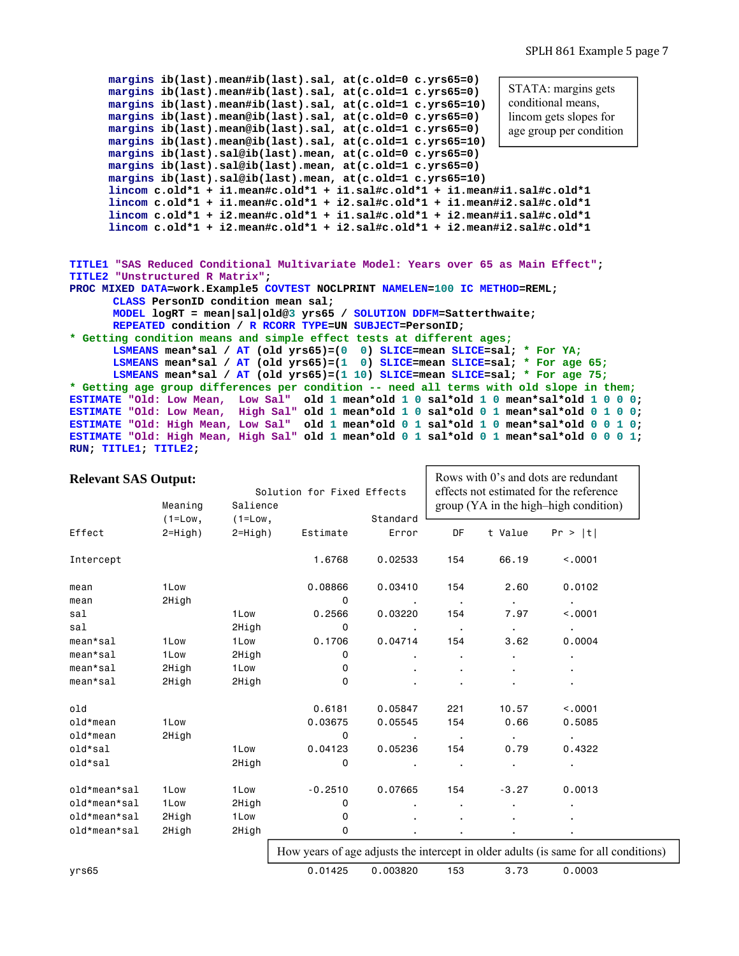```
 margins ib(last).mean#ib(last).sal, at(c.old=0 c.yrs65=0) 
       margins ib(last).mean#ib(last).sal, at(c.old=1 c.yrs65=0) 
       margins ib(last).mean#ib(last).sal, at(c.old=1 c.yrs65=10) 
       margins ib(last).mean@ib(last).sal, at(c.old=0 c.yrs65=0) 
       margins ib(last).mean@ib(last).sal, at(c.old=1 c.yrs65=0) 
       margins ib(last).mean@ib(last).sal, at(c.old=1 c.yrs65=10) 
       margins ib(last).sal@ib(last).mean, at(c.old=0 c.yrs65=0) 
       margins ib(last).sal@ib(last).mean, at(c.old=1 c.yrs65=0) 
       margins ib(last).sal@ib(last).mean, at(c.old=1 c.yrs65=10) 
       lincom c.old*1 + i1.mean#c.old*1 + i1.sal#c.old*1 + i1.mean#i1.sal#c.old*1 
       lincom c.old*1 + i1.mean#c.old*1 + i2.sal#c.old*1 + i1.mean#i2.sal#c.old*1 
       lincom c.old*1 + i2.mean#c.old*1 + i1.sal#c.old*1 + i2.mean#i1.sal#c.old*1 
       lincom c.old*1 + i2.mean#c.old*1 + i2.sal#c.old*1 + i2.mean#i2.sal#c.old*1 
TITLE1 "SAS Reduced Conditional Multivariate Model: Years over 65 as Main Effect"; 
TITLE2 "Unstructured R Matrix"; 
PROC MIXED DATA=work.Example5 COVTEST NOCLPRINT NAMELEN=100 IC METHOD=REML; 
       CLASS PersonID condition mean sal; 
      MODEL logRT = mean|sal|old@3 yrs65 / SOLUTION DDFM=Satterthwaite;
      REPEATED condition / R RCORR TYPE=UN SUBJECT=PersonID; 
* Getting condition means and simple effect tests at different ages;
       LSMEANS mean*sal / AT (old yrs65)=(0 0) SLICE=mean SLICE=sal; * For YA;
       LSMEANS mean*sal / AT (old yrs65)=(1 0) SLICE=mean SLICE=sal; * For age 65;
      LSMEANS mean*sal / AT (old yrs65)=(1 10) SLICE=mean SLICE=sal; * For age 75;
* Getting age group differences per condition -- need all terms with old slope in them;
ESTIMATE "Old: Low Mean, Low Sal" old 1 mean*old 1 0 sal*old 1 0 mean*sal*old 1 0 0 0; 
ESTIMATE "Old: Low Mean, High Sal" old 1 mean*old 1 0 sal*old 0 1 mean*sal*old 0 1 0 0; 
ESTIMATE "Old: High Mean, Low Sal" old 1 mean*old 0 1 sal*old 1 0 mean*sal*old 0 0 1 0; 
ESTIMATE "Old: High Mean, High Sal" old 1 mean*old 0 1 sal*old 0 1 mean*sal*old 0 0 0 1; 
RUN; TITLE1; TITLE2;
                                                                     STATA: margins gets 
                                                                     conditional means, 
                                                                     lincom gets slopes for 
                                                                     age group per condition
```

| <b>Relevant SAS Output:</b> | Meaning     | Salience               | Solution for Fixed Effects |                |                          | Rows with 0's and dots are redundant<br>effects not estimated for the reference<br>group (YA in the high-high condition) |                                                                                   |  |  |
|-----------------------------|-------------|------------------------|----------------------------|----------------|--------------------------|--------------------------------------------------------------------------------------------------------------------------|-----------------------------------------------------------------------------------|--|--|
|                             | $(1 = Low,$ | $(1 = Low,$            |                            | Standard       |                          |                                                                                                                          |                                                                                   |  |  |
| Effect                      | $2=High$ )  | Estimate<br>$2=High$ ) |                            | Error          | DF                       | t Value                                                                                                                  | Pr >  t                                                                           |  |  |
| Intercept                   |             |                        | 1.6768                     | 0.02533        | 154                      | 66.19                                                                                                                    | < 0.001                                                                           |  |  |
| mean                        | 1Low        |                        | 0.08866                    | 0.03410        | 154                      | 2.60                                                                                                                     | 0.0102                                                                            |  |  |
| mean                        | 2High       |                        | 0                          | $\blacksquare$ | $\blacksquare$           | $\blacksquare$                                                                                                           | $\blacksquare$                                                                    |  |  |
| sal                         |             | 1Low                   | 0.2566                     | 0.03220        | 154                      | 7.97                                                                                                                     | < 0.001                                                                           |  |  |
| sal                         |             | 2High                  | 0                          |                | $\overline{\phantom{a}}$ | $\blacksquare$                                                                                                           | $\bullet$                                                                         |  |  |
| mean*sal                    | 1Low        | 1Low                   | 0.1706                     | 0.04714        | 154                      | 3.62                                                                                                                     | 0.0004                                                                            |  |  |
| mean*sal                    | 1Low        | 2High                  | 0                          | $\blacksquare$ | $\blacksquare$           | $\blacksquare$                                                                                                           | $\blacksquare$                                                                    |  |  |
| mean*sal                    | 2High       | 1Low                   | 0                          |                |                          |                                                                                                                          |                                                                                   |  |  |
| mean*sal                    | 2High       | 2High                  | 0                          |                |                          |                                                                                                                          |                                                                                   |  |  |
| old                         |             |                        | 0.6181                     | 0.05847        | 221                      | 10.57                                                                                                                    | < .0001                                                                           |  |  |
| old*mean                    | 1Low        |                        | 0.03675                    | 0.05545        | 154                      | 0.66                                                                                                                     | 0.5085                                                                            |  |  |
| old*mean                    | 2High       |                        | 0                          | $\blacksquare$ | $\sim$ 100 $\pm$         | $\blacksquare$                                                                                                           | $\blacksquare$                                                                    |  |  |
| old*sal                     |             | 1Low                   | 0.04123                    | 0.05236        | 154                      | 0.79                                                                                                                     | 0.4322                                                                            |  |  |
| old*sal                     |             | 2High                  | $\mathbf 0$                |                | $\blacksquare$           | $\blacksquare$                                                                                                           | $\blacksquare$                                                                    |  |  |
| old*mean*sal                | 1Low        | 1Low                   | $-0.2510$                  | 0.07665        | 154                      | $-3.27$                                                                                                                  | 0.0013                                                                            |  |  |
| old*mean*sal                | 1Low        | 2High                  | 0                          |                | $\blacksquare$           |                                                                                                                          |                                                                                   |  |  |
| old*mean*sal                | 2High       | 1Low                   | 0                          |                |                          |                                                                                                                          |                                                                                   |  |  |
| old*mean*sal                | 2High       | 2High                  | 0                          |                |                          |                                                                                                                          |                                                                                   |  |  |
|                             |             |                        |                            |                |                          |                                                                                                                          | How years of age adjusts the intercept in alder adults (is same for all condition |  |  |

How years of age adjusts the intercept in older adults (is same for all conditions)

yrs65 0.01425 0.003820 153 3.73 0.0003